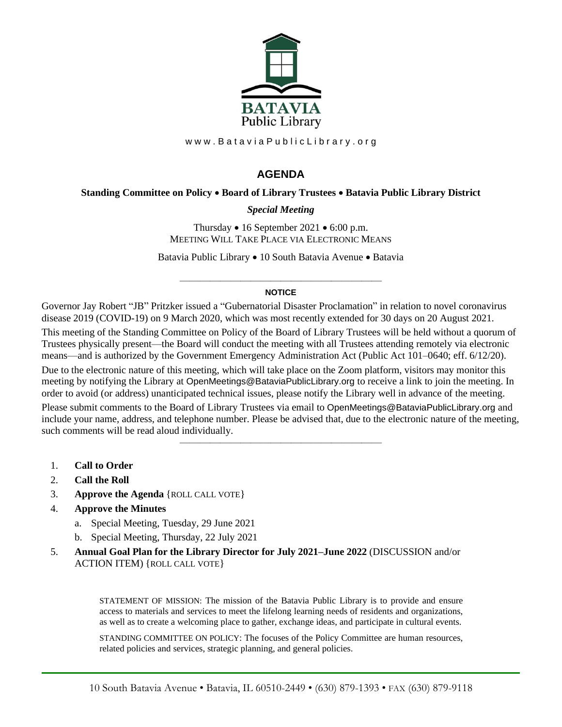

www.BataviaPublicLibrary.org

# **AGENDA**

### **Standing Committee on Policy** • **Board of Library Trustees** • **Batavia Public Library District**

### *Special Meeting*

Thursday  $\bullet$  16 September 2021  $\bullet$  6:00 p.m. MEETING WILL TAKE PLACE VIA ELECTRONIC MEANS

Batavia Public Library • 10 South Batavia Avenue • Batavia

#### ———————————————————— **NOTICE**

Governor Jay Robert "JB" Pritzker issued a "Gubernatorial Disaster Proclamation" in relation to novel coronavirus disease 2019 (COVID-19) on 9 March 2020, which was most recently extended for 30 days on 20 August 2021.

This meeting of the Standing Committee on Policy of the Board of Library Trustees will be held without a quorum of Trustees physically present—the Board will conduct the meeting with all Trustees attending remotely via electronic means—and is authorized by the Government Emergency Administration Act (Public Act 101–0640; eff. 6/12/20).

Due to the electronic nature of this meeting, which will take place on the Zoom platform, visitors may monitor this meeting by notifying the Library at OpenMeetings@BataviaPublicLibrary.org to receive a link to join the meeting. In order to avoid (or address) unanticipated technical issues, please notify the Library well in advance of the meeting.

Please submit comments to the Board of Library Trustees via email to OpenMeetings@BataviaPublicLibrary.org and include your name, address, and telephone number. Please be advised that, due to the electronic nature of the meeting, such comments will be read aloud individually.

————————————————————

- 1. **Call to Order**
- 2. **Call the Roll**
- 3. **Approve the Agenda** {ROLL CALL VOTE}
- 4. **Approve the Minutes**
	- a. Special Meeting, Tuesday, 29 June 2021
	- b. Special Meeting, Thursday, 22 July 2021
- 5. **Annual Goal Plan for the Library Director for July 2021–June 2022** (DISCUSSION and/or ACTION ITEM) {ROLL CALL VOTE}

STATEMENT OF MISSION: The mission of the Batavia Public Library is to provide and ensure access to materials and services to meet the lifelong learning needs of residents and organizations, as well as to create a welcoming place to gather, exchange ideas, and participate in cultural events.

STANDING COMMITTEE ON POLICY: The focuses of the Policy Committee are human resources, related policies and services, strategic planning, and general policies.